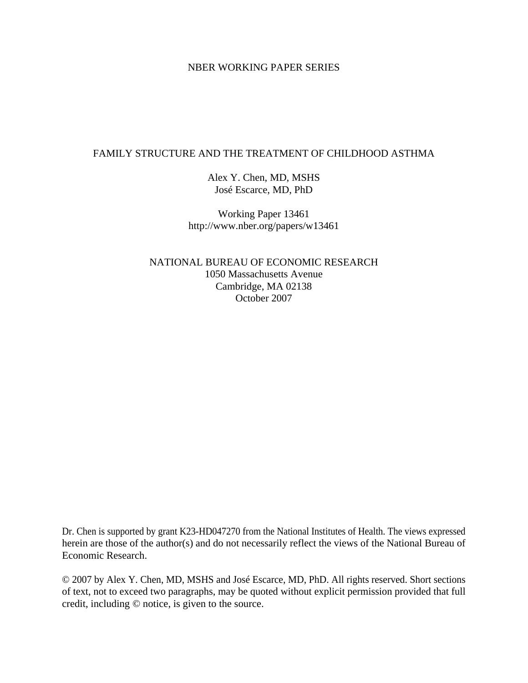# NBER WORKING PAPER SERIES

# FAMILY STRUCTURE AND THE TREATMENT OF CHILDHOOD ASTHMA

Alex Y. Chen, MD, MSHS José Escarce, MD, PhD

Working Paper 13461 http://www.nber.org/papers/w13461

NATIONAL BUREAU OF ECONOMIC RESEARCH 1050 Massachusetts Avenue Cambridge, MA 02138 October 2007

Dr. Chen is supported by grant K23-HD047270 from the National Institutes of Health. The views expressed herein are those of the author(s) and do not necessarily reflect the views of the National Bureau of Economic Research.

© 2007 by Alex Y. Chen, MD, MSHS and José Escarce, MD, PhD. All rights reserved. Short sections of text, not to exceed two paragraphs, may be quoted without explicit permission provided that full credit, including © notice, is given to the source.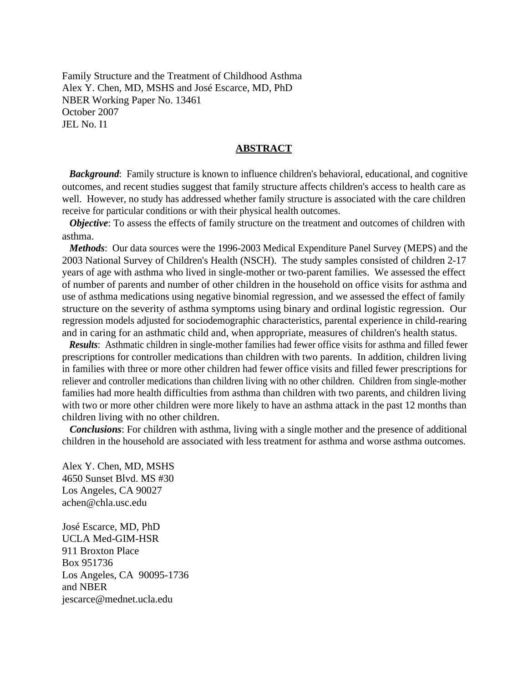Family Structure and the Treatment of Childhood Asthma Alex Y. Chen, MD, MSHS and José Escarce, MD, PhD NBER Working Paper No. 13461 October 2007 JEL No. I1

# **ABSTRACT**

*Background*: Family structure is known to influence children's behavioral, educational, and cognitive outcomes, and recent studies suggest that family structure affects children's access to health care as well. However, no study has addressed whether family structure is associated with the care children receive for particular conditions or with their physical health outcomes.

*Objective*: To assess the effects of family structure on the treatment and outcomes of children with asthma.

 *Methods*: Our data sources were the 1996-2003 Medical Expenditure Panel Survey (MEPS) and the 2003 National Survey of Children's Health (NSCH). The study samples consisted of children 2-17 years of age with asthma who lived in single-mother or two-parent families. We assessed the effect of number of parents and number of other children in the household on office visits for asthma and use of asthma medications using negative binomial regression, and we assessed the effect of family structure on the severity of asthma symptoms using binary and ordinal logistic regression. Our regression models adjusted for sociodemographic characteristics, parental experience in child-rearing and in caring for an asthmatic child and, when appropriate, measures of children's health status.

 *Results*: Asthmatic children in single-mother families had fewer office visits for asthma and filled fewer prescriptions for controller medications than children with two parents. In addition, children living in families with three or more other children had fewer office visits and filled fewer prescriptions for reliever and controller medications than children living with no other children. Children from single-mother families had more health difficulties from asthma than children with two parents, and children living with two or more other children were more likely to have an asthma attack in the past 12 months than children living with no other children.

 *Conclusions*: For children with asthma, living with a single mother and the presence of additional children in the household are associated with less treatment for asthma and worse asthma outcomes.

Alex Y. Chen, MD, MSHS 4650 Sunset Blvd. MS #30 Los Angeles, CA 90027 achen@chla.usc.edu

José Escarce, MD, PhD UCLA Med-GIM-HSR 911 Broxton Place Box 951736 Los Angeles, CA 90095-1736 and NBER jescarce@mednet.ucla.edu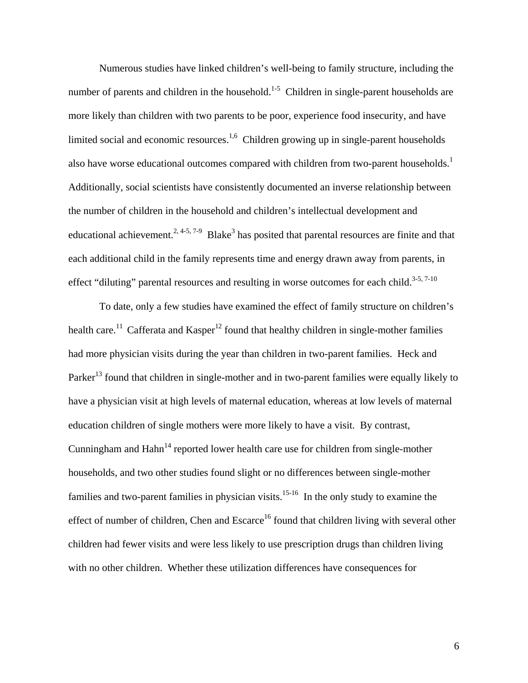Numerous studies have linked children's well-being to family structure, including the number of parents and children in the household.<sup>1-5</sup> Children in single-parent households are more likely than children with two parents to be poor, experience food insecurity, and have limited social and economic resources.<sup>1,6</sup> Children growing up in single-parent households also have worse educational outcomes compared with children from two-parent households.<sup>1</sup> Additionally, social scientists have consistently documented an inverse relationship between the number of children in the household and children's intellectual development and educational achievement.<sup>2, 4-5, 7-9</sup> Blake<sup>3</sup> has posited that parental resources are finite and that each additional child in the family represents time and energy drawn away from parents, in effect "diluting" parental resources and resulting in worse outcomes for each child.<sup>3-5, 7-10</sup>

To date, only a few studies have examined the effect of family structure on children's health care.<sup>11</sup> Cafferata and Kasper<sup>12</sup> found that healthy children in single-mother families had more physician visits during the year than children in two-parent families. Heck and Parker<sup>13</sup> found that children in single-mother and in two-parent families were equally likely to have a physician visit at high levels of maternal education, whereas at low levels of maternal education children of single mothers were more likely to have a visit. By contrast, Cunningham and  $Hahn<sup>14</sup>$  reported lower health care use for children from single-mother households, and two other studies found slight or no differences between single-mother families and two-parent families in physician visits.<sup>15-16</sup> In the only study to examine the effect of number of children, Chen and Escarce<sup>16</sup> found that children living with several other children had fewer visits and were less likely to use prescription drugs than children living with no other children. Whether these utilization differences have consequences for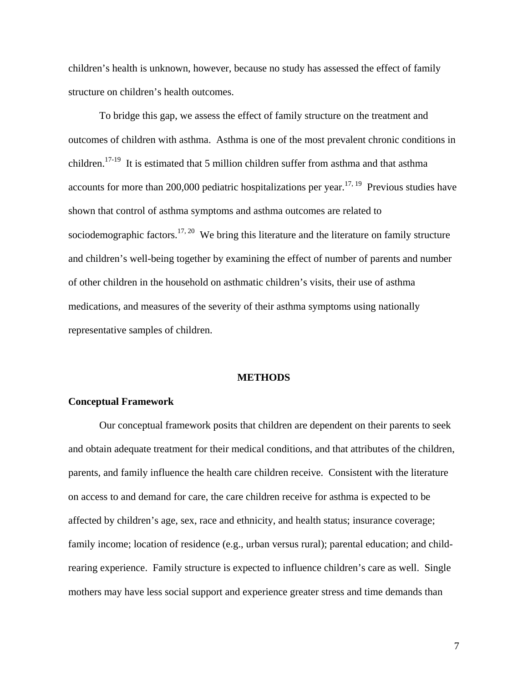children's health is unknown, however, because no study has assessed the effect of family structure on children's health outcomes.

To bridge this gap, we assess the effect of family structure on the treatment and outcomes of children with asthma. Asthma is one of the most prevalent chronic conditions in children.<sup>17-19</sup> It is estimated that 5 million children suffer from asthma and that asthma accounts for more than 200,000 pediatric hospitalizations per year.<sup>17, 19</sup> Previous studies have shown that control of asthma symptoms and asthma outcomes are related to sociodemographic factors.<sup>17, 20</sup> We bring this literature and the literature on family structure and children's well-being together by examining the effect of number of parents and number of other children in the household on asthmatic children's visits, their use of asthma medications, and measures of the severity of their asthma symptoms using nationally representative samples of children.

#### **METHODS**

## **Conceptual Framework**

Our conceptual framework posits that children are dependent on their parents to seek and obtain adequate treatment for their medical conditions, and that attributes of the children, parents, and family influence the health care children receive. Consistent with the literature on access to and demand for care, the care children receive for asthma is expected to be affected by children's age, sex, race and ethnicity, and health status; insurance coverage; family income; location of residence (e.g., urban versus rural); parental education; and childrearing experience. Family structure is expected to influence children's care as well. Single mothers may have less social support and experience greater stress and time demands than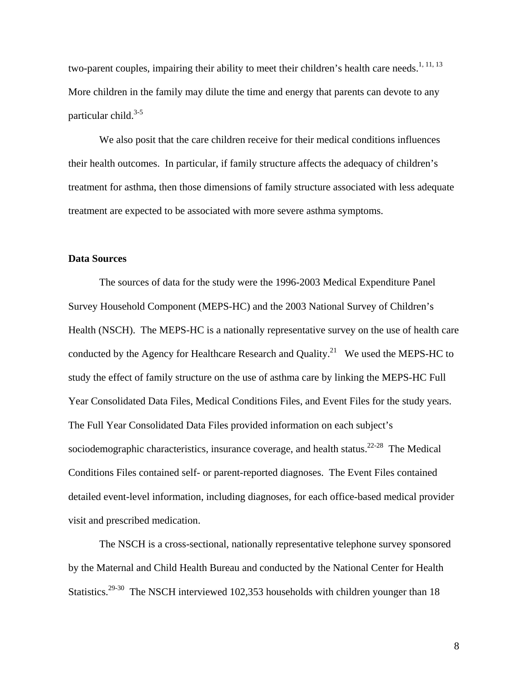two-parent couples, impairing their ability to meet their children's health care needs.<sup>1, 11, 13</sup> More children in the family may dilute the time and energy that parents can devote to any particular child. $3-5$ 

 We also posit that the care children receive for their medical conditions influences their health outcomes. In particular, if family structure affects the adequacy of children's treatment for asthma, then those dimensions of family structure associated with less adequate treatment are expected to be associated with more severe asthma symptoms.

## **Data Sources**

The sources of data for the study were the 1996-2003 Medical Expenditure Panel Survey Household Component (MEPS-HC) and the 2003 National Survey of Children's Health (NSCH). The MEPS-HC is a nationally representative survey on the use of health care conducted by the Agency for Healthcare Research and Quality.<sup>21</sup> We used the MEPS-HC to study the effect of family structure on the use of asthma care by linking the MEPS-HC Full Year Consolidated Data Files, Medical Conditions Files, and Event Files for the study years. The Full Year Consolidated Data Files provided information on each subject's sociodemographic characteristics, insurance coverage, and health status.<sup>22-28</sup> The Medical Conditions Files contained self- or parent-reported diagnoses. The Event Files contained detailed event-level information, including diagnoses, for each office-based medical provider visit and prescribed medication.

The NSCH is a cross-sectional, nationally representative telephone survey sponsored by the Maternal and Child Health Bureau and conducted by the National Center for Health Statistics.<sup>29-30</sup> The NSCH interviewed 102,353 households with children younger than 18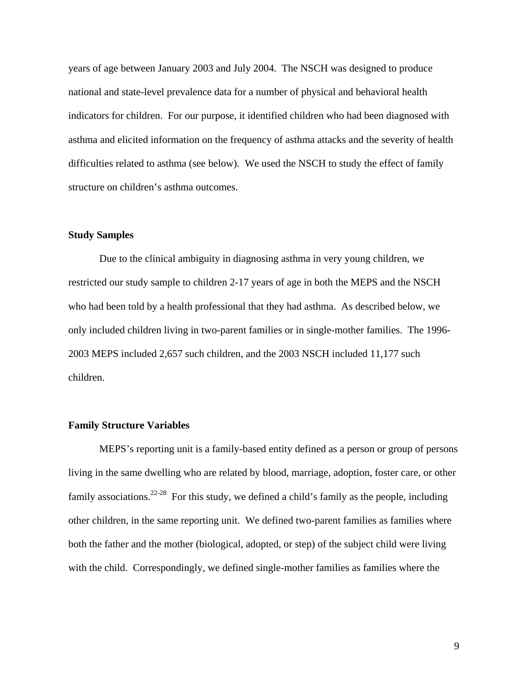years of age between January 2003 and July 2004. The NSCH was designed to produce national and state-level prevalence data for a number of physical and behavioral health indicators for children. For our purpose, it identified children who had been diagnosed with asthma and elicited information on the frequency of asthma attacks and the severity of health difficulties related to asthma (see below). We used the NSCH to study the effect of family structure on children's asthma outcomes.

# **Study Samples**

Due to the clinical ambiguity in diagnosing asthma in very young children, we restricted our study sample to children 2-17 years of age in both the MEPS and the NSCH who had been told by a health professional that they had asthma. As described below, we only included children living in two-parent families or in single-mother families. The 1996- 2003 MEPS included 2,657 such children, and the 2003 NSCH included 11,177 such children.

# **Family Structure Variables**

MEPS's reporting unit is a family-based entity defined as a person or group of persons living in the same dwelling who are related by blood, marriage, adoption, foster care, or other family associations.<sup>22-28</sup> For this study, we defined a child's family as the people, including other children, in the same reporting unit. We defined two-parent families as families where both the father and the mother (biological, adopted, or step) of the subject child were living with the child. Correspondingly, we defined single-mother families as families where the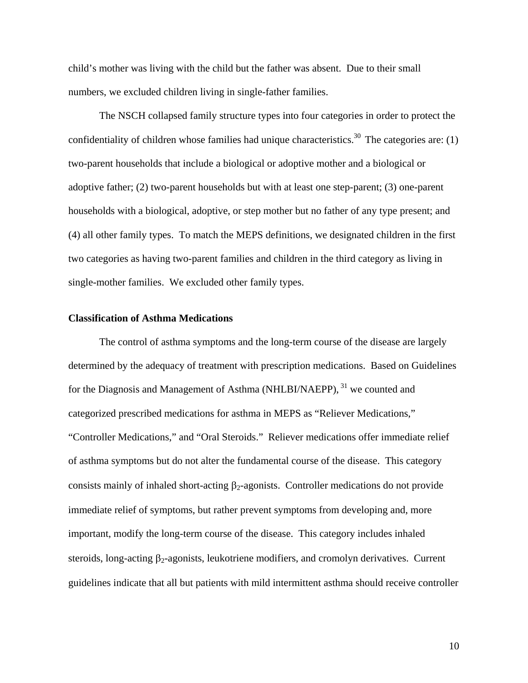child's mother was living with the child but the father was absent. Due to their small numbers, we excluded children living in single-father families.

 The NSCH collapsed family structure types into four categories in order to protect the confidentiality of children whose families had unique characteristics.<sup>30</sup> The categories are: (1) two-parent households that include a biological or adoptive mother and a biological or adoptive father; (2) two-parent households but with at least one step-parent; (3) one-parent households with a biological, adoptive, or step mother but no father of any type present; and (4) all other family types. To match the MEPS definitions, we designated children in the first two categories as having two-parent families and children in the third category as living in single-mother families. We excluded other family types.

# **Classification of Asthma Medications**

The control of asthma symptoms and the long-term course of the disease are largely determined by the adequacy of treatment with prescription medications. Based on Guidelines for the Diagnosis and Management of Asthma (NHLBI/NAEPP), <sup>31</sup> we counted and categorized prescribed medications for asthma in MEPS as "Reliever Medications," "Controller Medications," and "Oral Steroids." Reliever medications offer immediate relief of asthma symptoms but do not alter the fundamental course of the disease. This category consists mainly of inhaled short-acting  $\beta_2$ -agonists. Controller medications do not provide immediate relief of symptoms, but rather prevent symptoms from developing and, more important, modify the long-term course of the disease. This category includes inhaled steroids, long-acting  $\beta_2$ -agonists, leukotriene modifiers, and cromolyn derivatives. Current guidelines indicate that all but patients with mild intermittent asthma should receive controller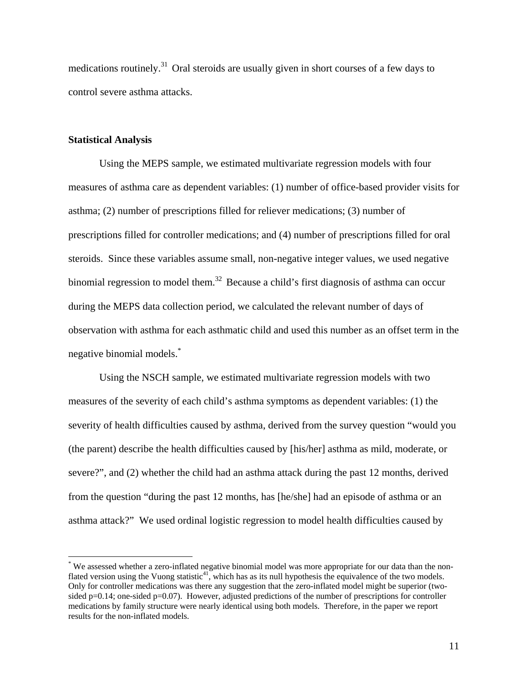medications routinely.<sup>31</sup> Oral steroids are usually given in short courses of a few days to control severe asthma attacks.

## **Statistical Analysis**

 $\overline{a}$ 

Using the MEPS sample, we estimated multivariate regression models with four measures of asthma care as dependent variables: (1) number of office-based provider visits for asthma; (2) number of prescriptions filled for reliever medications; (3) number of prescriptions filled for controller medications; and (4) number of prescriptions filled for oral steroids. Since these variables assume small, non-negative integer values, we used negative binomial regression to model them.<sup>32</sup> Because a child's first diagnosis of asthma can occur during the MEPS data collection period, we calculated the relevant number of days of observation with asthma for each asthmatic child and used this number as an offset term in the negative binomial models.\*

Using the NSCH sample, we estimated multivariate regression models with two measures of the severity of each child's asthma symptoms as dependent variables: (1) the severity of health difficulties caused by asthma, derived from the survey question "would you (the parent) describe the health difficulties caused by [his/her] asthma as mild, moderate, or severe?", and (2) whether the child had an asthma attack during the past 12 months, derived from the question "during the past 12 months, has [he/she] had an episode of asthma or an asthma attack?" We used ordinal logistic regression to model health difficulties caused by

<sup>\*</sup> We assessed whether a zero-inflated negative binomial model was more appropriate for our data than the nonflated version using the Vuong statistic $4^1$ , which has as its null hypothesis the equivalence of the two models. Only for controller medications was there any suggestion that the zero-inflated model might be superior (twosided p=0.14; one-sided p=0.07). However, adjusted predictions of the number of prescriptions for controller medications by family structure were nearly identical using both models. Therefore, in the paper we report results for the non-inflated models.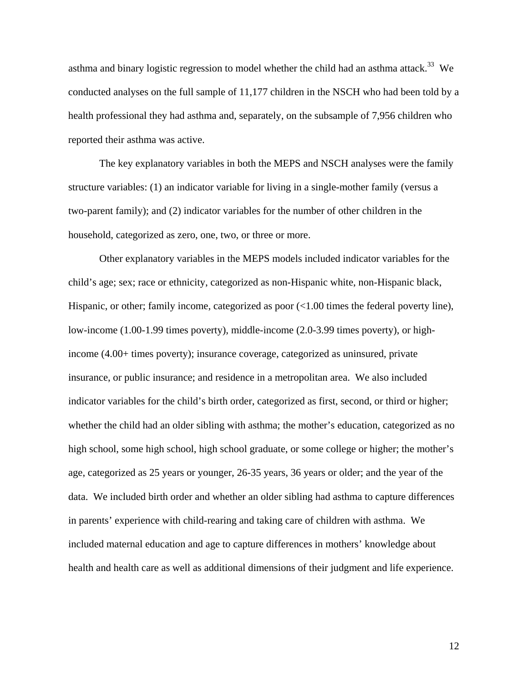asthma and binary logistic regression to model whether the child had an asthma attack.<sup>33</sup> We conducted analyses on the full sample of 11,177 children in the NSCH who had been told by a health professional they had asthma and, separately, on the subsample of 7,956 children who reported their asthma was active.

The key explanatory variables in both the MEPS and NSCH analyses were the family structure variables: (1) an indicator variable for living in a single-mother family (versus a two-parent family); and (2) indicator variables for the number of other children in the household, categorized as zero, one, two, or three or more.

Other explanatory variables in the MEPS models included indicator variables for the child's age; sex; race or ethnicity, categorized as non-Hispanic white, non-Hispanic black, Hispanic, or other; family income, categorized as poor  $\ll 1.00$  times the federal poverty line), low-income (1.00-1.99 times poverty), middle-income (2.0-3.99 times poverty), or highincome (4.00+ times poverty); insurance coverage, categorized as uninsured, private insurance, or public insurance; and residence in a metropolitan area. We also included indicator variables for the child's birth order, categorized as first, second, or third or higher; whether the child had an older sibling with asthma; the mother's education, categorized as no high school, some high school, high school graduate, or some college or higher; the mother's age, categorized as 25 years or younger, 26-35 years, 36 years or older; and the year of the data. We included birth order and whether an older sibling had asthma to capture differences in parents' experience with child-rearing and taking care of children with asthma. We included maternal education and age to capture differences in mothers' knowledge about health and health care as well as additional dimensions of their judgment and life experience.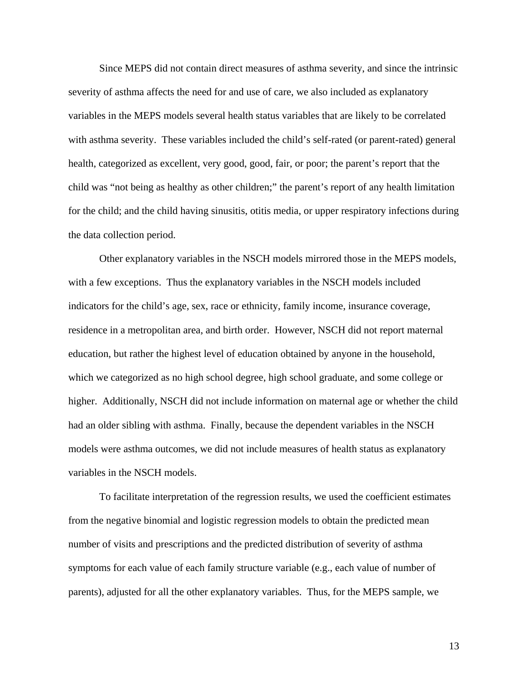Since MEPS did not contain direct measures of asthma severity, and since the intrinsic severity of asthma affects the need for and use of care, we also included as explanatory variables in the MEPS models several health status variables that are likely to be correlated with asthma severity. These variables included the child's self-rated (or parent-rated) general health, categorized as excellent, very good, good, fair, or poor; the parent's report that the child was "not being as healthy as other children;" the parent's report of any health limitation for the child; and the child having sinusitis, otitis media, or upper respiratory infections during the data collection period.

Other explanatory variables in the NSCH models mirrored those in the MEPS models, with a few exceptions. Thus the explanatory variables in the NSCH models included indicators for the child's age, sex, race or ethnicity, family income, insurance coverage, residence in a metropolitan area, and birth order. However, NSCH did not report maternal education, but rather the highest level of education obtained by anyone in the household, which we categorized as no high school degree, high school graduate, and some college or higher. Additionally, NSCH did not include information on maternal age or whether the child had an older sibling with asthma. Finally, because the dependent variables in the NSCH models were asthma outcomes, we did not include measures of health status as explanatory variables in the NSCH models.

To facilitate interpretation of the regression results, we used the coefficient estimates from the negative binomial and logistic regression models to obtain the predicted mean number of visits and prescriptions and the predicted distribution of severity of asthma symptoms for each value of each family structure variable (e.g., each value of number of parents), adjusted for all the other explanatory variables. Thus, for the MEPS sample, we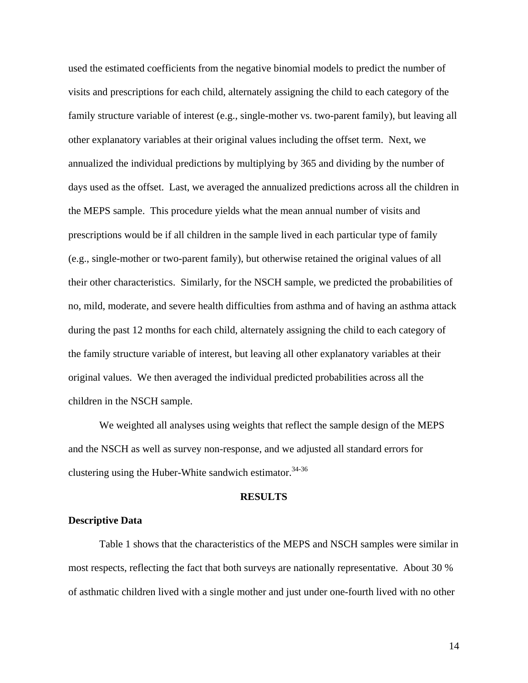used the estimated coefficients from the negative binomial models to predict the number of visits and prescriptions for each child, alternately assigning the child to each category of the family structure variable of interest (e.g., single-mother vs. two-parent family), but leaving all other explanatory variables at their original values including the offset term. Next, we annualized the individual predictions by multiplying by 365 and dividing by the number of days used as the offset. Last, we averaged the annualized predictions across all the children in the MEPS sample. This procedure yields what the mean annual number of visits and prescriptions would be if all children in the sample lived in each particular type of family (e.g., single-mother or two-parent family), but otherwise retained the original values of all their other characteristics. Similarly, for the NSCH sample, we predicted the probabilities of no, mild, moderate, and severe health difficulties from asthma and of having an asthma attack during the past 12 months for each child, alternately assigning the child to each category of the family structure variable of interest, but leaving all other explanatory variables at their original values. We then averaged the individual predicted probabilities across all the children in the NSCH sample.

We weighted all analyses using weights that reflect the sample design of the MEPS and the NSCH as well as survey non-response, and we adjusted all standard errors for clustering using the Huber-White sandwich estimator.  $34-36$ 

#### **RESULTS**

## **Descriptive Data**

 Table 1 shows that the characteristics of the MEPS and NSCH samples were similar in most respects, reflecting the fact that both surveys are nationally representative. About 30 % of asthmatic children lived with a single mother and just under one-fourth lived with no other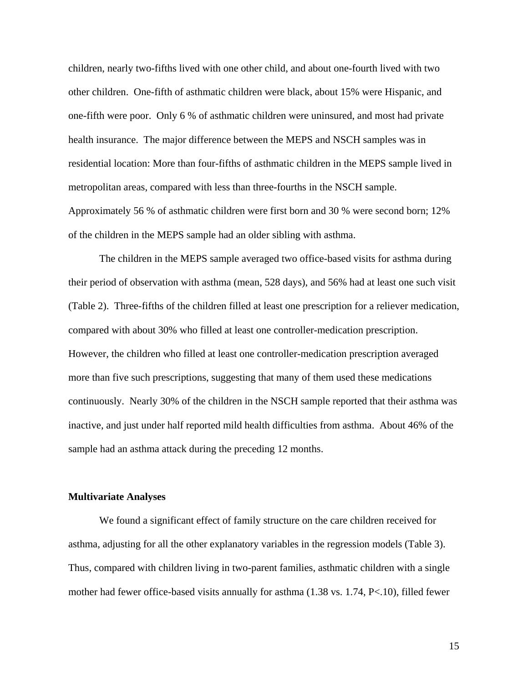children, nearly two-fifths lived with one other child, and about one-fourth lived with two other children. One-fifth of asthmatic children were black, about 15% were Hispanic, and one-fifth were poor. Only 6 % of asthmatic children were uninsured, and most had private health insurance. The major difference between the MEPS and NSCH samples was in residential location: More than four-fifths of asthmatic children in the MEPS sample lived in metropolitan areas, compared with less than three-fourths in the NSCH sample. Approximately 56 % of asthmatic children were first born and 30 % were second born; 12% of the children in the MEPS sample had an older sibling with asthma.

The children in the MEPS sample averaged two office-based visits for asthma during their period of observation with asthma (mean, 528 days), and 56% had at least one such visit (Table 2). Three-fifths of the children filled at least one prescription for a reliever medication, compared with about 30% who filled at least one controller-medication prescription. However, the children who filled at least one controller-medication prescription averaged more than five such prescriptions, suggesting that many of them used these medications continuously. Nearly 30% of the children in the NSCH sample reported that their asthma was inactive, and just under half reported mild health difficulties from asthma. About 46% of the sample had an asthma attack during the preceding 12 months.

#### **Multivariate Analyses**

 We found a significant effect of family structure on the care children received for asthma, adjusting for all the other explanatory variables in the regression models (Table 3). Thus, compared with children living in two-parent families, asthmatic children with a single mother had fewer office-based visits annually for asthma (1.38 vs. 1.74, P<.10), filled fewer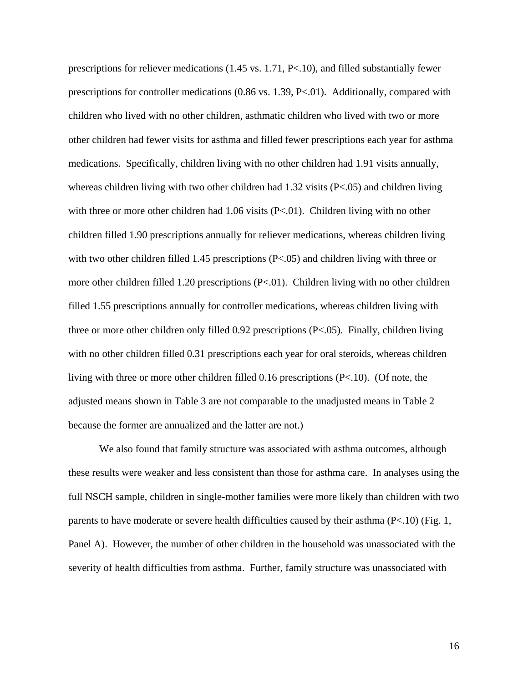prescriptions for reliever medications (1.45 vs. 1.71, P<.10), and filled substantially fewer prescriptions for controller medications (0.86 vs. 1.39, P<.01). Additionally, compared with children who lived with no other children, asthmatic children who lived with two or more other children had fewer visits for asthma and filled fewer prescriptions each year for asthma medications. Specifically, children living with no other children had 1.91 visits annually, whereas children living with two other children had 1.32 visits (P<.05) and children living with three or more other children had  $1.06$  visits (P<.01). Children living with no other children filled 1.90 prescriptions annually for reliever medications, whereas children living with two other children filled 1.45 prescriptions (P<.05) and children living with three or more other children filled 1.20 prescriptions (P<.01). Children living with no other children filled 1.55 prescriptions annually for controller medications, whereas children living with three or more other children only filled 0.92 prescriptions (P<.05). Finally, children living with no other children filled 0.31 prescriptions each year for oral steroids, whereas children living with three or more other children filled 0.16 prescriptions (P<.10). (Of note, the adjusted means shown in Table 3 are not comparable to the unadjusted means in Table 2 because the former are annualized and the latter are not.)

 We also found that family structure was associated with asthma outcomes, although these results were weaker and less consistent than those for asthma care. In analyses using the full NSCH sample, children in single-mother families were more likely than children with two parents to have moderate or severe health difficulties caused by their asthma (P<.10) (Fig. 1, Panel A). However, the number of other children in the household was unassociated with the severity of health difficulties from asthma. Further, family structure was unassociated with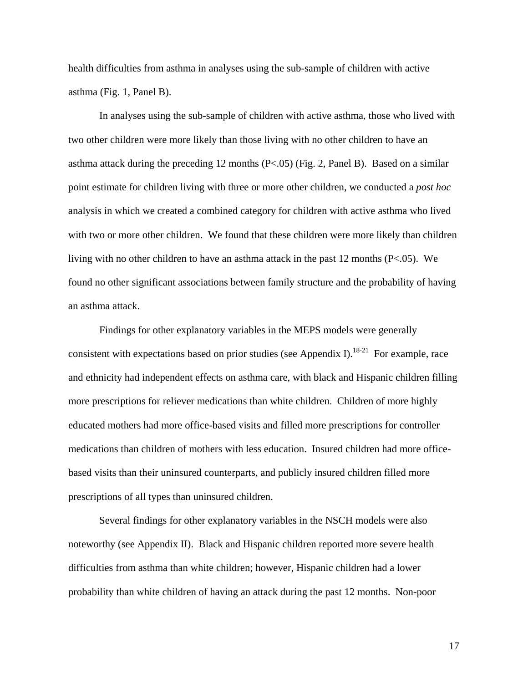health difficulties from asthma in analyses using the sub-sample of children with active asthma (Fig. 1, Panel B).

In analyses using the sub-sample of children with active asthma, those who lived with two other children were more likely than those living with no other children to have an asthma attack during the preceding 12 months (P<.05) (Fig. 2, Panel B). Based on a similar point estimate for children living with three or more other children, we conducted a *post hoc* analysis in which we created a combined category for children with active asthma who lived with two or more other children. We found that these children were more likely than children living with no other children to have an asthma attack in the past 12 months (P<.05). We found no other significant associations between family structure and the probability of having an asthma attack.

Findings for other explanatory variables in the MEPS models were generally consistent with expectations based on prior studies (see Appendix I).<sup>18-21</sup> For example, race and ethnicity had independent effects on asthma care, with black and Hispanic children filling more prescriptions for reliever medications than white children. Children of more highly educated mothers had more office-based visits and filled more prescriptions for controller medications than children of mothers with less education. Insured children had more officebased visits than their uninsured counterparts, and publicly insured children filled more prescriptions of all types than uninsured children.

Several findings for other explanatory variables in the NSCH models were also noteworthy (see Appendix II). Black and Hispanic children reported more severe health difficulties from asthma than white children; however, Hispanic children had a lower probability than white children of having an attack during the past 12 months. Non-poor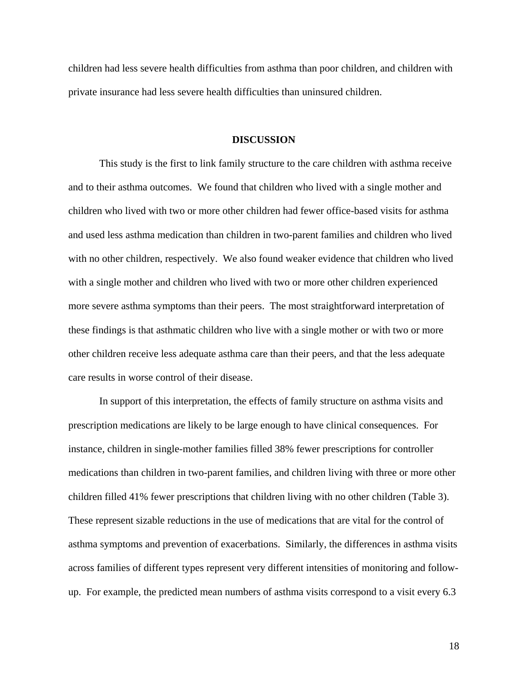children had less severe health difficulties from asthma than poor children, and children with private insurance had less severe health difficulties than uninsured children.

## **DISCUSSION**

This study is the first to link family structure to the care children with asthma receive and to their asthma outcomes. We found that children who lived with a single mother and children who lived with two or more other children had fewer office-based visits for asthma and used less asthma medication than children in two-parent families and children who lived with no other children, respectively. We also found weaker evidence that children who lived with a single mother and children who lived with two or more other children experienced more severe asthma symptoms than their peers. The most straightforward interpretation of these findings is that asthmatic children who live with a single mother or with two or more other children receive less adequate asthma care than their peers, and that the less adequate care results in worse control of their disease.

In support of this interpretation, the effects of family structure on asthma visits and prescription medications are likely to be large enough to have clinical consequences. For instance, children in single-mother families filled 38% fewer prescriptions for controller medications than children in two-parent families, and children living with three or more other children filled 41% fewer prescriptions that children living with no other children (Table 3). These represent sizable reductions in the use of medications that are vital for the control of asthma symptoms and prevention of exacerbations. Similarly, the differences in asthma visits across families of different types represent very different intensities of monitoring and followup. For example, the predicted mean numbers of asthma visits correspond to a visit every 6.3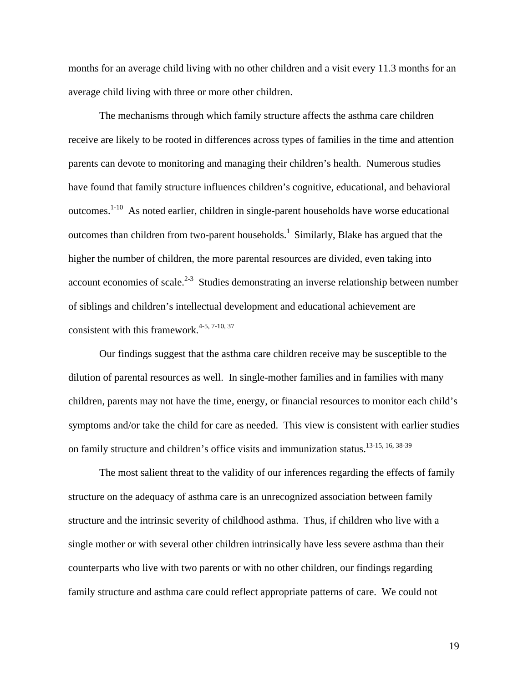months for an average child living with no other children and a visit every 11.3 months for an average child living with three or more other children.

The mechanisms through which family structure affects the asthma care children receive are likely to be rooted in differences across types of families in the time and attention parents can devote to monitoring and managing their children's health. Numerous studies have found that family structure influences children's cognitive, educational, and behavioral outcomes.1-10 As noted earlier, children in single-parent households have worse educational outcomes than children from two-parent households.<sup>1</sup> Similarly, Blake has argued that the higher the number of children, the more parental resources are divided, even taking into account economies of scale.<sup>2-3</sup> Studies demonstrating an inverse relationship between number of siblings and children's intellectual development and educational achievement are consistent with this framework.<sup>4-5, 7-10, 37</sup>

Our findings suggest that the asthma care children receive may be susceptible to the dilution of parental resources as well. In single-mother families and in families with many children, parents may not have the time, energy, or financial resources to monitor each child's symptoms and/or take the child for care as needed. This view is consistent with earlier studies on family structure and children's office visits and immunization status.<sup>13-15, 16, 38-39</sup>

The most salient threat to the validity of our inferences regarding the effects of family structure on the adequacy of asthma care is an unrecognized association between family structure and the intrinsic severity of childhood asthma. Thus, if children who live with a single mother or with several other children intrinsically have less severe asthma than their counterparts who live with two parents or with no other children, our findings regarding family structure and asthma care could reflect appropriate patterns of care. We could not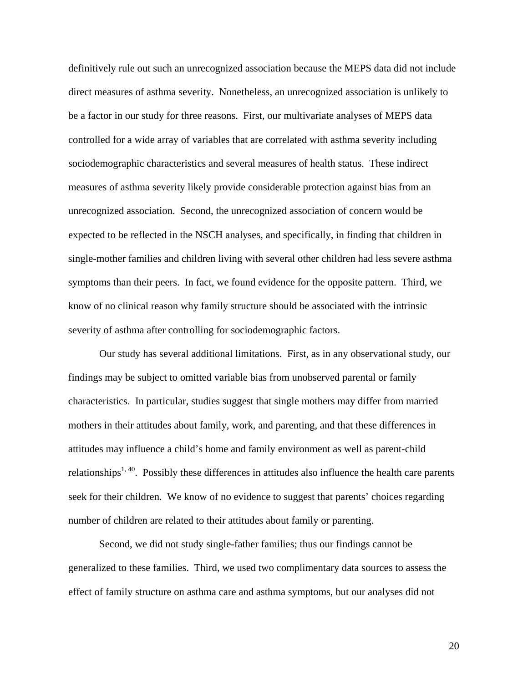definitively rule out such an unrecognized association because the MEPS data did not include direct measures of asthma severity. Nonetheless, an unrecognized association is unlikely to be a factor in our study for three reasons. First, our multivariate analyses of MEPS data controlled for a wide array of variables that are correlated with asthma severity including sociodemographic characteristics and several measures of health status. These indirect measures of asthma severity likely provide considerable protection against bias from an unrecognized association. Second, the unrecognized association of concern would be expected to be reflected in the NSCH analyses, and specifically, in finding that children in single-mother families and children living with several other children had less severe asthma symptoms than their peers. In fact, we found evidence for the opposite pattern. Third, we know of no clinical reason why family structure should be associated with the intrinsic severity of asthma after controlling for sociodemographic factors.

Our study has several additional limitations. First, as in any observational study, our findings may be subject to omitted variable bias from unobserved parental or family characteristics. In particular, studies suggest that single mothers may differ from married mothers in their attitudes about family, work, and parenting, and that these differences in attitudes may influence a child's home and family environment as well as parent-child relationships<sup>1, 40</sup>. Possibly these differences in attitudes also influence the health care parents seek for their children. We know of no evidence to suggest that parents' choices regarding number of children are related to their attitudes about family or parenting.

Second, we did not study single-father families; thus our findings cannot be generalized to these families. Third, we used two complimentary data sources to assess the effect of family structure on asthma care and asthma symptoms, but our analyses did not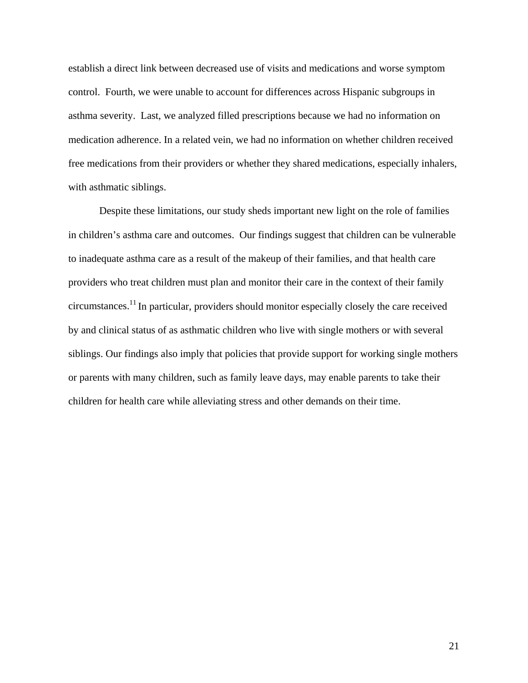establish a direct link between decreased use of visits and medications and worse symptom control. Fourth, we were unable to account for differences across Hispanic subgroups in asthma severity. Last, we analyzed filled prescriptions because we had no information on medication adherence. In a related vein, we had no information on whether children received free medications from their providers or whether they shared medications, especially inhalers, with asthmatic siblings.

Despite these limitations, our study sheds important new light on the role of families in children's asthma care and outcomes. Our findings suggest that children can be vulnerable to inadequate asthma care as a result of the makeup of their families, and that health care providers who treat children must plan and monitor their care in the context of their family circumstances.11 In particular, providers should monitor especially closely the care received by and clinical status of as asthmatic children who live with single mothers or with several siblings. Our findings also imply that policies that provide support for working single mothers or parents with many children, such as family leave days, may enable parents to take their children for health care while alleviating stress and other demands on their time.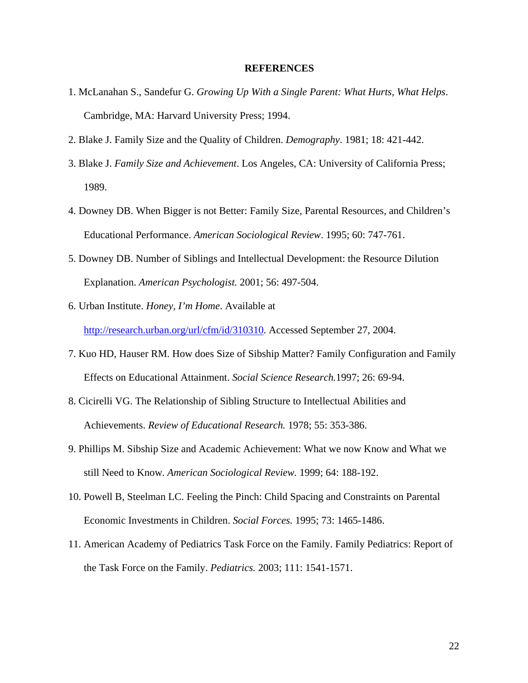#### **REFERENCES**

- 1. McLanahan S., Sandefur G. *Growing Up With a Single Parent: What Hurts, What Helps*. Cambridge, MA: Harvard University Press; 1994.
- 2. Blake J. Family Size and the Quality of Children. *Demography*. 1981; 18: 421-442.
- 3. Blake J. *Family Size and Achievement*. Los Angeles, CA: University of California Press; 1989.
- 4. Downey DB. When Bigger is not Better: Family Size, Parental Resources, and Children's Educational Performance. *American Sociological Review*. 1995; 60: 747-761.
- 5. Downey DB. Number of Siblings and Intellectual Development: the Resource Dilution Explanation. *American Psychologist.* 2001; 56: 497-504.
- 6. Urban Institute. *Honey, I'm Home*. Available at http://research.urban.org/url/cfm/id/310310. Accessed September 27, 2004.
- 7. Kuo HD, Hauser RM. How does Size of Sibship Matter? Family Configuration and Family Effects on Educational Attainment. *Social Science Research.*1997; 26: 69-94.
- 8. Cicirelli VG. The Relationship of Sibling Structure to Intellectual Abilities and Achievements. *Review of Educational Research.* 1978; 55: 353-386.
- 9. Phillips M. Sibship Size and Academic Achievement: What we now Know and What we still Need to Know. *American Sociological Review.* 1999; 64: 188-192.
- 10. Powell B, Steelman LC. Feeling the Pinch: Child Spacing and Constraints on Parental Economic Investments in Children. *Social Forces.* 1995; 73: 1465-1486.
- 11. American Academy of Pediatrics Task Force on the Family. Family Pediatrics: Report of the Task Force on the Family. *Pediatrics.* 2003; 111: 1541-1571.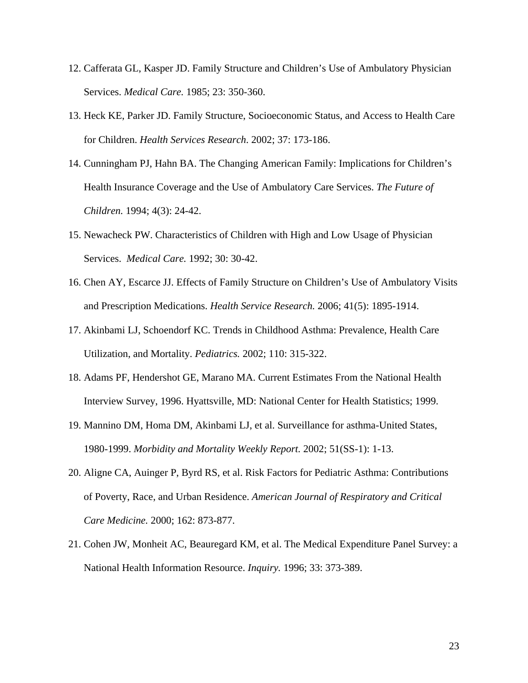- 12. Cafferata GL, Kasper JD. Family Structure and Children's Use of Ambulatory Physician Services. *Medical Care.* 1985; 23: 350-360.
- 13. Heck KE, Parker JD. Family Structure, Socioeconomic Status, and Access to Health Care for Children. *Health Services Research*. 2002; 37: 173-186.
- 14. Cunningham PJ, Hahn BA. The Changing American Family: Implications for Children's Health Insurance Coverage and the Use of Ambulatory Care Services. *The Future of Children.* 1994; 4(3): 24-42.
- 15. Newacheck PW. Characteristics of Children with High and Low Usage of Physician Services. *Medical Care.* 1992; 30: 30-42.
- 16. Chen AY, Escarce JJ. Effects of Family Structure on Children's Use of Ambulatory Visits and Prescription Medications. *Health Service Research.* 2006; 41(5): 1895-1914.
- 17. Akinbami LJ, Schoendorf KC. Trends in Childhood Asthma: Prevalence, Health Care Utilization, and Mortality. *Pediatrics.* 2002; 110: 315-322.
- 18. Adams PF, Hendershot GE, Marano MA. Current Estimates From the National Health Interview Survey, 1996. Hyattsville, MD: National Center for Health Statistics; 1999.
- 19. Mannino DM, Homa DM, Akinbami LJ, et al. Surveillance for asthma-United States, 1980-1999. *Morbidity and Mortality Weekly Report.* 2002; 51(SS-1): 1-13.
- 20. Aligne CA, Auinger P, Byrd RS, et al. Risk Factors for Pediatric Asthma: Contributions of Poverty, Race, and Urban Residence. *American Journal of Respiratory and Critical Care Medicine.* 2000; 162: 873-877.
- 21. Cohen JW, Monheit AC, Beauregard KM, et al. The Medical Expenditure Panel Survey: a National Health Information Resource. *Inquiry.* 1996; 33: 373-389.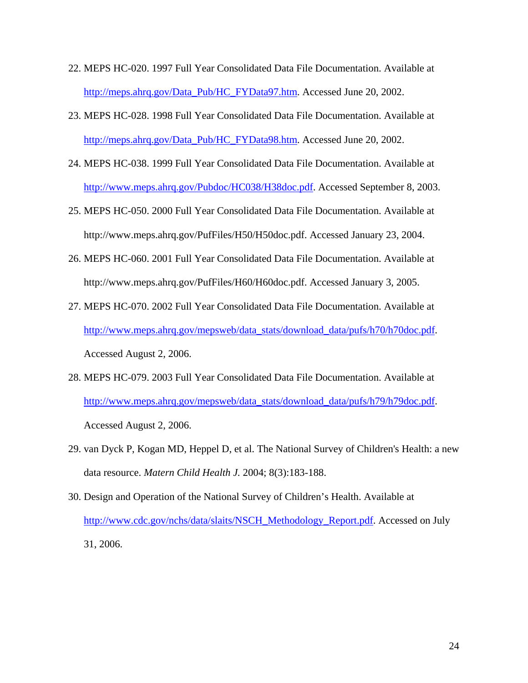- 22. MEPS HC-020. 1997 Full Year Consolidated Data File Documentation. Available at http://meps.ahrq.gov/Data\_Pub/HC\_FYData97.htm. Accessed June 20, 2002.
- 23. MEPS HC-028. 1998 Full Year Consolidated Data File Documentation. Available at http://meps.ahrq.gov/Data\_Pub/HC\_FYData98.htm. Accessed June 20, 2002.
- 24. MEPS HC-038. 1999 Full Year Consolidated Data File Documentation. Available at http://www.meps.ahrq.gov/Pubdoc/HC038/H38doc.pdf. Accessed September 8, 2003.
- 25. MEPS HC-050. 2000 Full Year Consolidated Data File Documentation. Available at http://www.meps.ahrq.gov/PufFiles/H50/H50doc.pdf. Accessed January 23, 2004.
- 26. MEPS HC-060. 2001 Full Year Consolidated Data File Documentation. Available at http://www.meps.ahrq.gov/PufFiles/H60/H60doc.pdf. Accessed January 3, 2005.
- 27. MEPS HC-070. 2002 Full Year Consolidated Data File Documentation. Available at http://www.meps.ahrq.gov/mepsweb/data\_stats/download\_data/pufs/h70/h70doc.pdf. Accessed August 2, 2006.
- 28. MEPS HC-079. 2003 Full Year Consolidated Data File Documentation. Available at http://www.meps.ahrq.gov/mepsweb/data\_stats/download\_data/pufs/h79/h79doc.pdf. Accessed August 2, 2006.
- 29. van Dyck P, Kogan MD, Heppel D, et al. The National Survey of Children's Health: a new data resource. *Matern Child Health J.* 2004; 8(3):183-188.
- 30. Design and Operation of the National Survey of Children's Health. Available at http://www.cdc.gov/nchs/data/slaits/NSCH\_Methodology\_Report.pdf. Accessed on July 31, 2006.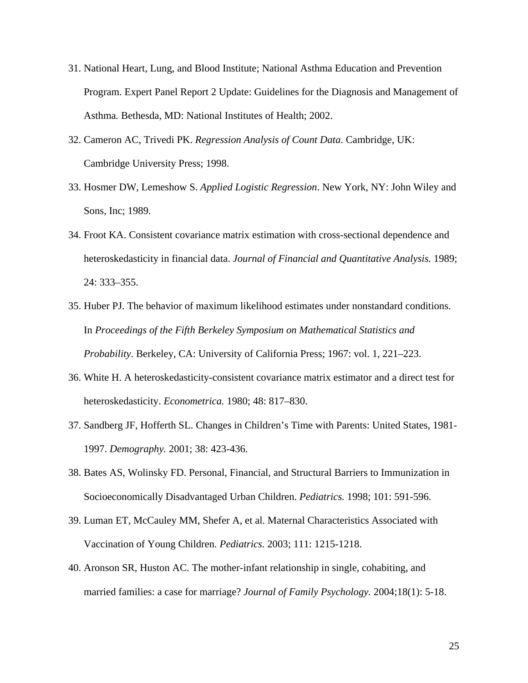- 31. National Heart, Lung, and Blood Institute; National Asthma Education and Prevention Program. Expert Panel Report 2 Update: Guidelines for the Diagnosis and Management of Asthma*.* Bethesda, MD: National Institutes of Health; 2002.
- 32. Cameron AC, Trivedi PK. *Regression Analysis of Count Data*. Cambridge, UK: Cambridge University Press; 1998.
- 33. Hosmer DW, Lemeshow S. *Applied Logistic Regression*. New York, NY: John Wiley and Sons, Inc; 1989.
- 34. Froot KA. Consistent covariance matrix estimation with cross-sectional dependence and heteroskedasticity in financial data. *Journal of Financial and Quantitative Analysis.* 1989; 24: 333–355.
- 35. Huber PJ. The behavior of maximum likelihood estimates under nonstandard conditions. In *Proceedings of the Fifth Berkeley Symposium on Mathematical Statistics and Probability*. Berkeley, CA: University of California Press; 1967: vol. 1, 221–223.
- 36. White H. A heteroskedasticity-consistent covariance matrix estimator and a direct test for heteroskedasticity. *Econometrica.* 1980; 48: 817–830.
- 37. Sandberg JF, Hofferth SL. Changes in Children's Time with Parents: United States, 1981- 1997. *Demography.* 2001; 38: 423-436.
- 38. Bates AS, Wolinsky FD. Personal, Financial, and Structural Barriers to Immunization in Socioeconomically Disadvantaged Urban Children. *Pediatrics.* 1998; 101: 591-596.
- 39. Luman ET, McCauley MM, Shefer A, et al. Maternal Characteristics Associated with Vaccination of Young Children. *Pediatrics.* 2003; 111: 1215-1218.
- 40. Aronson SR, Huston AC. The mother-infant relationship in single, cohabiting, and married families: a case for marriage? *Journal of Family Psychology.* 2004;18(1): 5-18.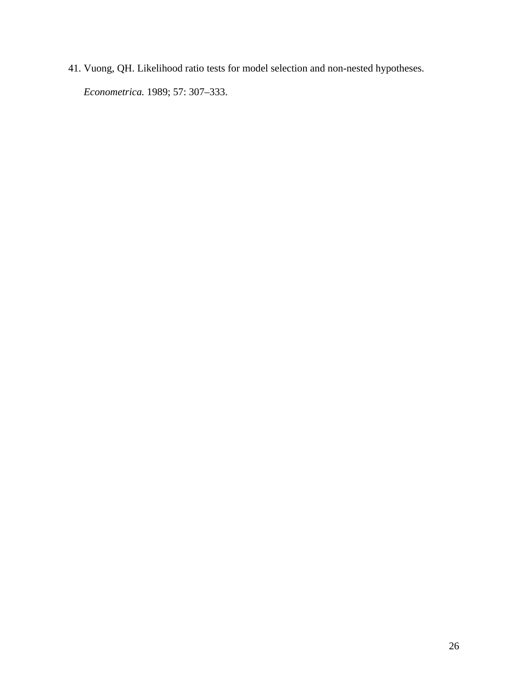41. Vuong, QH. Likelihood ratio tests for model selection and non-nested hypotheses.

*Econometrica.* 1989; 57: 307–333.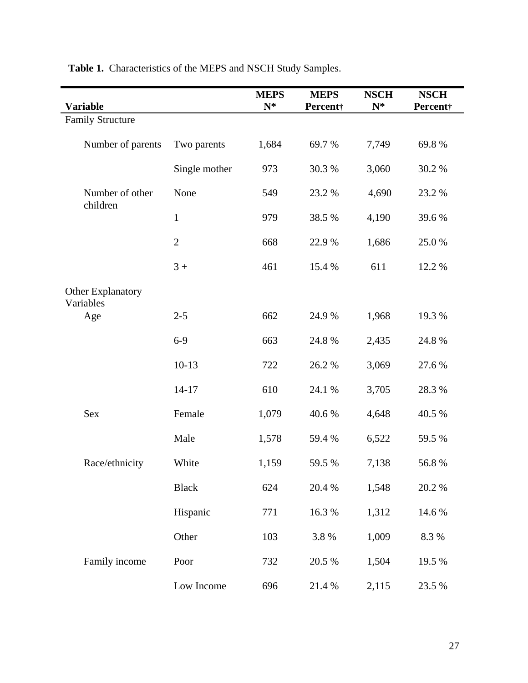| <b>Variable</b>                       |                | <b>MEPS</b><br>$N^*$ | <b>MEPS</b><br>Percent† | <b>NSCH</b><br>$N^*$ | <b>NSCH</b><br>Percent† |
|---------------------------------------|----------------|----------------------|-------------------------|----------------------|-------------------------|
| <b>Family Structure</b>               |                |                      |                         |                      |                         |
| Number of parents                     | Two parents    | 1,684                | 69.7%                   | 7,749                | 69.8%                   |
|                                       | Single mother  | 973                  | 30.3%                   | 3,060                | 30.2 %                  |
| Number of other<br>children           | None           | 549                  | 23.2 %                  | 4,690                | 23.2 %                  |
|                                       | $\mathbf{1}$   | 979                  | 38.5 %                  | 4,190                | 39.6%                   |
|                                       | $\overline{2}$ | 668                  | 22.9%                   | 1,686                | 25.0%                   |
|                                       | $3+$           | 461                  | 15.4 %                  | 611                  | 12.2 %                  |
| <b>Other Explanatory</b><br>Variables |                |                      |                         |                      |                         |
| Age                                   | $2 - 5$        | 662                  | 24.9%                   | 1,968                | 19.3 %                  |
|                                       | $6-9$          | 663                  | 24.8%                   | 2,435                | 24.8 %                  |
|                                       | $10-13$        | 722                  | 26.2%                   | 3,069                | 27.6 %                  |
|                                       | $14 - 17$      | 610                  | 24.1 %                  | 3,705                | 28.3 %                  |
| <b>Sex</b>                            | Female         | 1,079                | 40.6%                   | 4,648                | 40.5 %                  |
|                                       | Male           | 1,578                | 59.4 %                  | 6,522                | 59.5 %                  |
| Race/ethnicity                        | White          | 1,159                | 59.5 %                  | 7,138                | 56.8%                   |
|                                       | <b>Black</b>   | 624                  | 20.4 %                  | 1,548                | 20.2 %                  |
|                                       | Hispanic       | 771                  | 16.3 %                  | 1,312                | 14.6 %                  |
|                                       | Other          | 103                  | 3.8 %                   | 1,009                | 8.3 %                   |
| Family income                         | Poor           | 732                  | 20.5 %                  | 1,504                | 19.5 %                  |
|                                       | Low Income     | 696                  | 21.4 %                  | 2,115                | 23.5 %                  |

**Table 1.** Characteristics of the MEPS and NSCH Study Samples.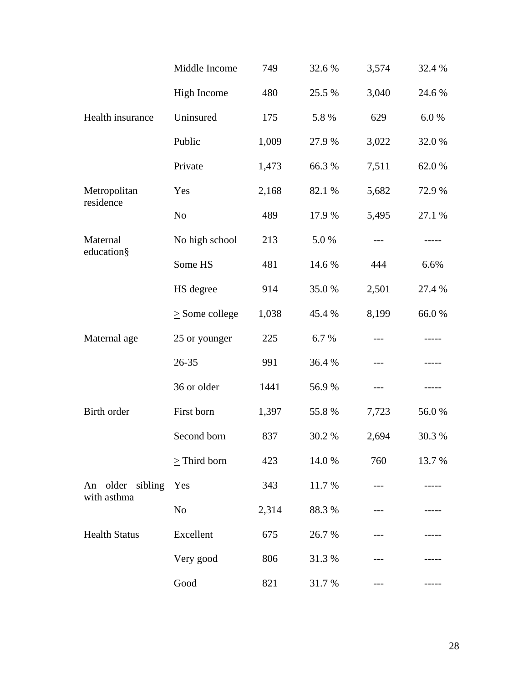|                                 | Middle Income       | 749   | 32.6 % | 3,574 | 32.4 %    |
|---------------------------------|---------------------|-------|--------|-------|-----------|
|                                 | <b>High Income</b>  | 480   | 25.5 % | 3,040 | 24.6 %    |
| Health insurance                | Uninsured           | 175   | 5.8 %  | 629   | $6.0\ \%$ |
|                                 | Public              | 1,009 | 27.9 % | 3,022 | 32.0%     |
|                                 | Private             | 1,473 | 66.3%  | 7,511 | 62.0%     |
| Metropolitan<br>residence       | Yes                 | 2,168 | 82.1 % | 5,682 | 72.9 %    |
|                                 | N <sub>o</sub>      | 489   | 17.9%  | 5,495 | 27.1 %    |
| Maternal<br>education§          | No high school      | 213   | 5.0%   | ---   |           |
|                                 | Some HS             | 481   | 14.6 % | 444   | 6.6%      |
|                                 | HS degree           | 914   | 35.0%  | 2,501 | 27.4 %    |
|                                 | $\geq$ Some college | 1,038 | 45.4 % | 8,199 | 66.0%     |
| Maternal age                    | 25 or younger       | 225   | 6.7%   |       |           |
|                                 | 26-35               | 991   | 36.4 % | ---   | -----     |
|                                 | 36 or older         | 1441  | 56.9%  | ---   |           |
| Birth order                     | First born          | 1,397 | 55.8%  | 7,723 | 56.0%     |
|                                 | Second born         | 837   | 30.2 % | 2,694 | 30.3 %    |
|                                 | $>$ Third born      | 423   | 14.0 % | 760   | 13.7 %    |
| An older sibling<br>with asthma | Yes                 | 343   | 11.7 % |       |           |
|                                 | No                  | 2,314 | 88.3%  |       |           |
| <b>Health Status</b>            | Excellent           | 675   | 26.7 % |       |           |
|                                 | Very good           | 806   | 31.3 % |       |           |
|                                 | Good                | 821   | 31.7 % | ---   |           |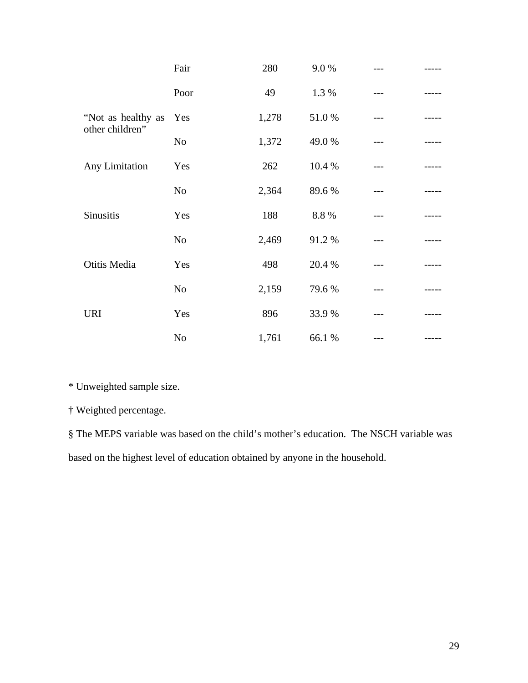|                                       | Fair           | 280   | 9.0%   |  |
|---------------------------------------|----------------|-------|--------|--|
|                                       | Poor           | 49    | 1.3 %  |  |
| "Not as healthy as<br>other children" | Yes            | 1,278 | 51.0%  |  |
|                                       | No             | 1,372 | 49.0%  |  |
| Any Limitation                        | Yes            | 262   | 10.4 % |  |
|                                       | N <sub>o</sub> | 2,364 | 89.6%  |  |
| Sinusitis                             | Yes            | 188   | 8.8%   |  |
|                                       | N <sub>o</sub> | 2,469 | 91.2%  |  |
| Otitis Media                          | Yes            | 498   | 20.4 % |  |
|                                       | No             | 2,159 | 79.6%  |  |
| <b>URI</b>                            | Yes            | 896   | 33.9%  |  |
|                                       | N <sub>o</sub> | 1,761 | 66.1 % |  |

\* Unweighted sample size.

† Weighted percentage.

§ The MEPS variable was based on the child's mother's education. The NSCH variable was based on the highest level of education obtained by anyone in the household.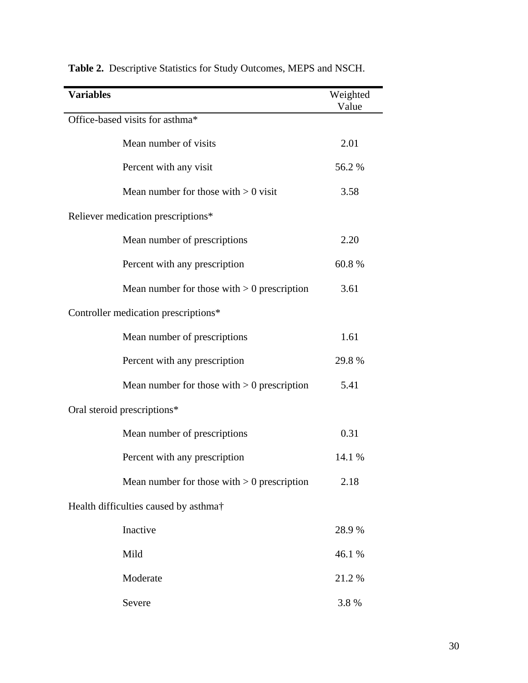| <b>Variables</b>                                  | Weighted<br>Value |
|---------------------------------------------------|-------------------|
| Office-based visits for asthma*                   |                   |
| Mean number of visits                             | 2.01              |
| Percent with any visit                            | 56.2%             |
| Mean number for those with $> 0$ visit            | 3.58              |
| Reliever medication prescriptions*                |                   |
| Mean number of prescriptions                      | 2.20              |
| Percent with any prescription                     | 60.8%             |
| Mean number for those with $> 0$ prescription     | 3.61              |
| Controller medication prescriptions*              |                   |
| Mean number of prescriptions                      | 1.61              |
| Percent with any prescription                     | 29.8%             |
| Mean number for those with $> 0$ prescription     | 5.41              |
| Oral steroid prescriptions*                       |                   |
| Mean number of prescriptions                      | 0.31              |
| Percent with any prescription                     | 14.1 %            |
| Mean number for those with $> 0$ prescription     | 2.18              |
| Health difficulties caused by asthma <sup>†</sup> |                   |
| Inactive                                          | 28.9 %            |
| Mild                                              | 46.1 %            |
| Moderate                                          | 21.2 %            |
| Severe                                            | 3.8%              |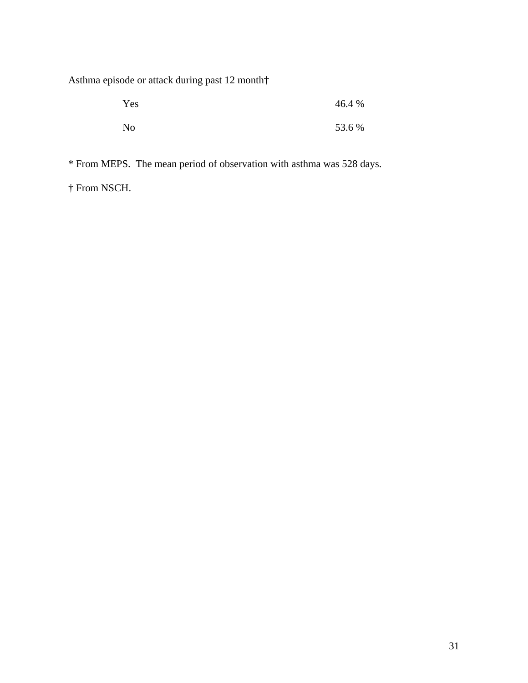Asthma episode or attack during past 12 month†

| Yes            | 46.4 % |
|----------------|--------|
| N <sub>0</sub> | 53.6 % |

\* From MEPS. The mean period of observation with asthma was 528 days.

† From NSCH.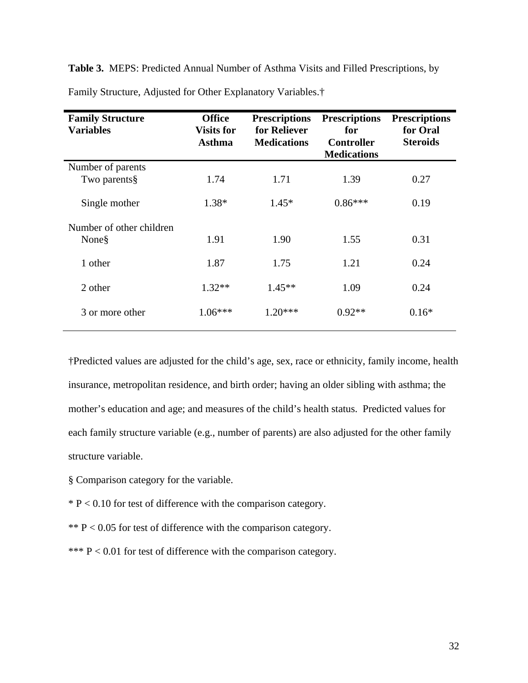**Table 3.** MEPS: Predicted Annual Number of Asthma Visits and Filled Prescriptions, by

| <b>Family Structure</b><br><b>Variables</b> | <b>Office</b><br><b>Visits for</b><br><b>Asthma</b> | <b>Prescriptions</b><br>for Reliever<br><b>Medications</b> | <b>Prescriptions</b><br>for<br><b>Controller</b><br><b>Medications</b> | <b>Prescriptions</b><br>for Oral<br><b>Steroids</b> |
|---------------------------------------------|-----------------------------------------------------|------------------------------------------------------------|------------------------------------------------------------------------|-----------------------------------------------------|
| Number of parents                           |                                                     |                                                            |                                                                        |                                                     |
| Two parents§                                | 1.74                                                | 1.71                                                       | 1.39                                                                   | 0.27                                                |
| Single mother                               | 1.38*                                               | $1.45*$                                                    | $0.86***$                                                              | 0.19                                                |
| Number of other children                    |                                                     |                                                            |                                                                        |                                                     |
| None§                                       | 1.91                                                | 1.90                                                       | 1.55                                                                   | 0.31                                                |
| 1 other                                     | 1.87                                                | 1.75                                                       | 1.21                                                                   | 0.24                                                |
| 2 other                                     | $1.32**$                                            | $1.45**$                                                   | 1.09                                                                   | 0.24                                                |
| 3 or more other                             | $1.06***$                                           | $1.20***$                                                  | $0.92**$                                                               | $0.16*$                                             |

Family Structure, Adjusted for Other Explanatory Variables.†

†Predicted values are adjusted for the child's age, sex, race or ethnicity, family income, health insurance, metropolitan residence, and birth order; having an older sibling with asthma; the mother's education and age; and measures of the child's health status. Predicted values for each family structure variable (e.g., number of parents) are also adjusted for the other family structure variable.

- § Comparison category for the variable.
- $* P < 0.10$  for test of difference with the comparison category.
- \*\*  $P < 0.05$  for test of difference with the comparison category.
- \*\*\*  $P < 0.01$  for test of difference with the comparison category.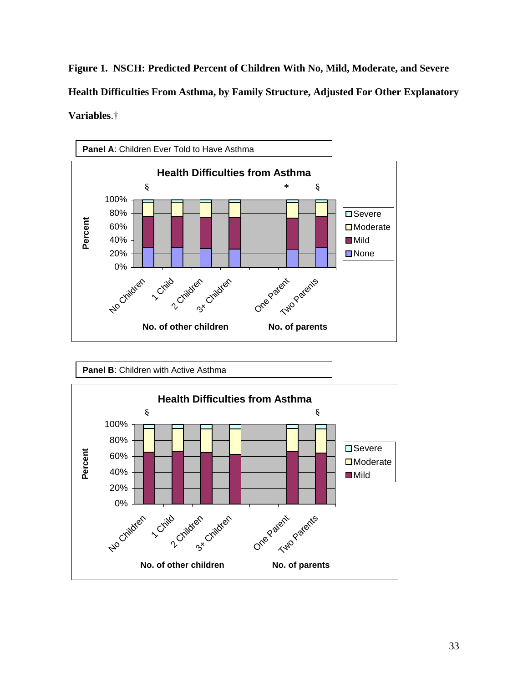**Figure 1. NSCH: Predicted Percent of Children With No, Mild, Moderate, and Severe Health Difficulties From Asthma, by Family Structure, Adjusted For Other Explanatory Variables**.†



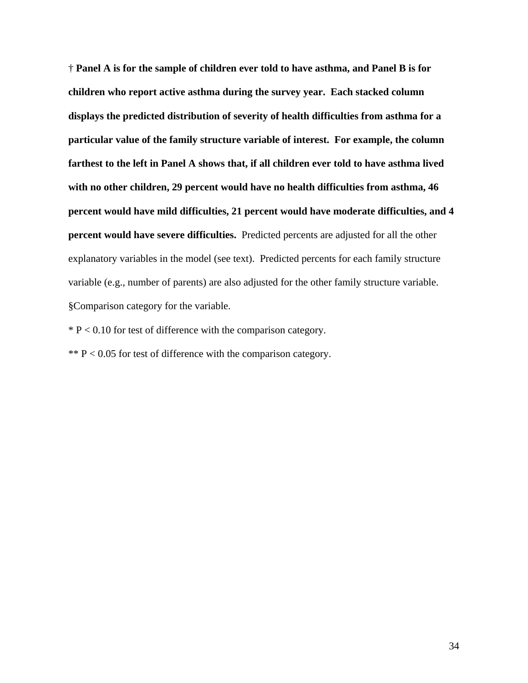† **Panel A is for the sample of children ever told to have asthma, and Panel B is for children who report active asthma during the survey year. Each stacked column displays the predicted distribution of severity of health difficulties from asthma for a particular value of the family structure variable of interest. For example, the column farthest to the left in Panel A shows that, if all children ever told to have asthma lived with no other children, 29 percent would have no health difficulties from asthma, 46 percent would have mild difficulties, 21 percent would have moderate difficulties, and 4 percent would have severe difficulties.** Predicted percents are adjusted for all the other explanatory variables in the model (see text). Predicted percents for each family structure variable (e.g., number of parents) are also adjusted for the other family structure variable. §Comparison category for the variable.

 $* P < 0.10$  for test of difference with the comparison category.

\*\*  $P < 0.05$  for test of difference with the comparison category.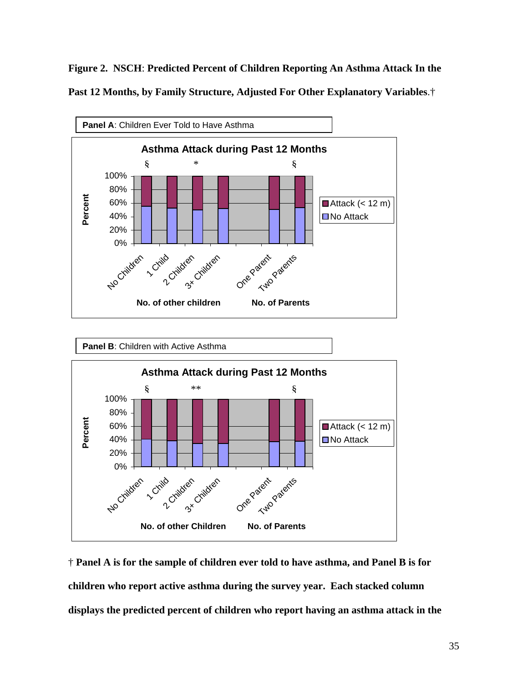**Figure 2. NSCH**: **Predicted Percent of Children Reporting An Asthma Attack In the Past 12 Months, by Family Structure, Adjusted For Other Explanatory Variables**.†





† **Panel A is for the sample of children ever told to have asthma, and Panel B is for children who report active asthma during the survey year. Each stacked column displays the predicted percent of children who report having an asthma attack in the**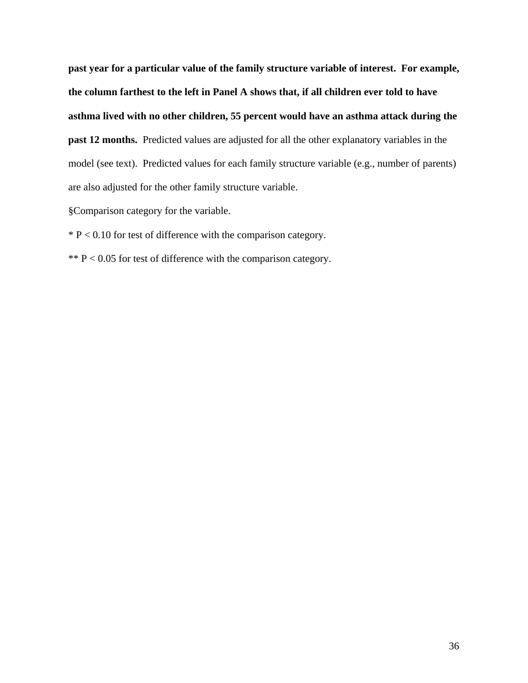**past year for a particular value of the family structure variable of interest. For example, the column farthest to the left in Panel A shows that, if all children ever told to have asthma lived with no other children, 55 percent would have an asthma attack during the past 12 months.** Predicted values are adjusted for all the other explanatory variables in the model (see text). Predicted values for each family structure variable (e.g., number of parents) are also adjusted for the other family structure variable.

§Comparison category for the variable.

 $* P < 0.10$  for test of difference with the comparison category.

\*\*  $P < 0.05$  for test of difference with the comparison category.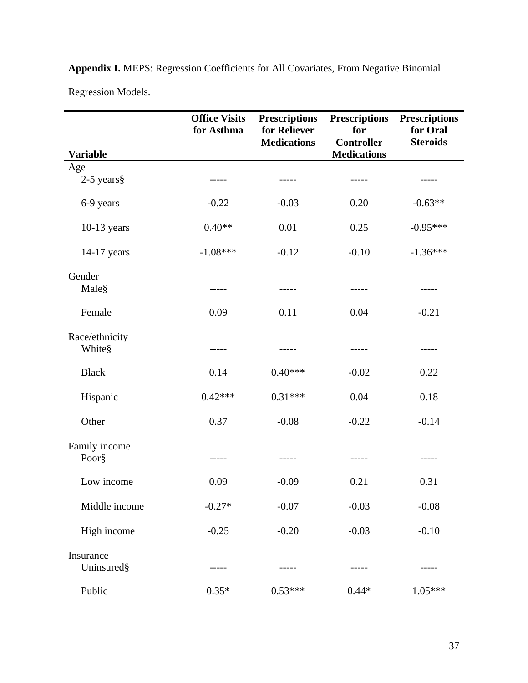| <b>Variable</b>          | <b>Office Visits</b><br>for Asthma | <b>Prescriptions</b><br>for Reliever<br><b>Medications</b> | <b>Prescriptions</b><br>for<br><b>Controller</b><br><b>Medications</b> | <b>Prescriptions</b><br>for Oral<br><b>Steroids</b> |
|--------------------------|------------------------------------|------------------------------------------------------------|------------------------------------------------------------------------|-----------------------------------------------------|
| Age                      |                                    |                                                            |                                                                        |                                                     |
| $2-5$ years §            |                                    |                                                            |                                                                        |                                                     |
| 6-9 years                | $-0.22$                            | $-0.03$                                                    | 0.20                                                                   | $-0.63**$                                           |
| $10-13$ years            | $0.40**$                           | 0.01                                                       | 0.25                                                                   | $-0.95***$                                          |
| 14-17 years              | $-1.08***$                         | $-0.12$                                                    | $-0.10$                                                                | $-1.36***$                                          |
| Gender<br>Male§          | -----                              |                                                            |                                                                        |                                                     |
| Female                   | 0.09                               | 0.11                                                       | 0.04                                                                   | $-0.21$                                             |
| Race/ethnicity<br>White§ | -----                              |                                                            | -----                                                                  | -----                                               |
| <b>Black</b>             | 0.14                               | $0.40***$                                                  | $-0.02$                                                                | 0.22                                                |
| Hispanic                 | $0.42***$                          | $0.31***$                                                  | 0.04                                                                   | 0.18                                                |
| Other                    | 0.37                               | $-0.08$                                                    | $-0.22$                                                                | $-0.14$                                             |
| Family income<br>Poor§   |                                    |                                                            |                                                                        |                                                     |
| Low income               | 0.09                               | $-0.09$                                                    | 0.21                                                                   | 0.31                                                |
| Middle income            | $-0.27*$                           | $-0.07$                                                    | $-0.03$                                                                | $-0.08$                                             |
| High income              | $-0.25$                            | $-0.20$                                                    | $-0.03$                                                                | $-0.10$                                             |
| Insurance<br>Uninsured§  |                                    |                                                            |                                                                        |                                                     |
| Public                   | $0.35*$                            | $0.53***$                                                  | $0.44*$                                                                | $1.05***$                                           |

**Appendix I.** MEPS: Regression Coefficients for All Covariates, From Negative Binomial Regression Models.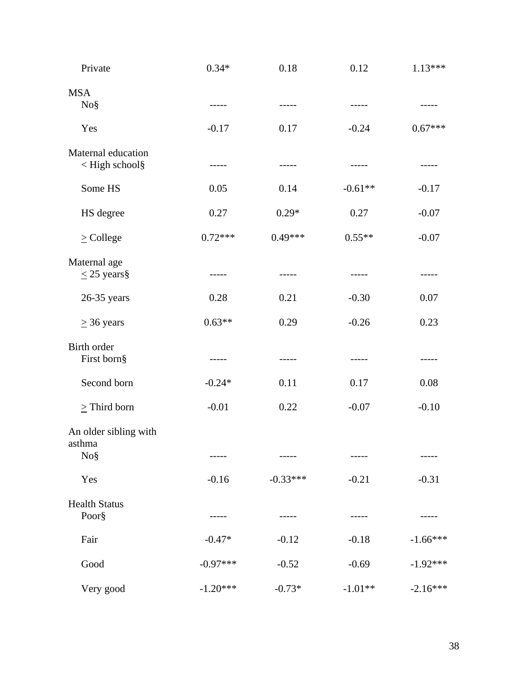| Private                                | $0.34*$    | 0.18       | 0.12      | $1.13***$   |
|----------------------------------------|------------|------------|-----------|-------------|
| <b>MSA</b><br>No <sub>8</sub>          | -----      | -----      | -----     | -----       |
| Yes                                    | $-0.17$    | 0.17       | $-0.24$   | $0.67***$   |
| Maternal education<br>< High school§   | -----      | -----      | -----     | $- - - - -$ |
| Some HS                                | 0.05       | 0.14       | $-0.61**$ | $-0.17$     |
| HS degree                              | 0.27       | $0.29*$    | 0.27      | $-0.07$     |
| $\geq$ College                         | $0.72***$  | $0.49***$  | $0.55**$  | $-0.07$     |
| Maternal age<br>$\leq$ 25 years §      |            |            |           |             |
| $26-35$ years                          | 0.28       | 0.21       | $-0.30$   | 0.07        |
| $\geq$ 36 years                        | $0.63**$   | 0.29       | $-0.26$   | 0.23        |
| Birth order<br>First born§             | -----      | -----      | -----     |             |
| Second born                            | $-0.24*$   | 0.11       | 0.17      | 0.08        |
| $\ge$ Third born                       | $-0.01$    | 0.22       | $-0.07$   | $-0.10$     |
| An older sibling with<br>asthma<br>No§ | -----      | -----      | -----     | -----       |
| Yes                                    | $-0.16$    | $-0.33***$ | $-0.21$   | $-0.31$     |
| <b>Health Status</b><br>Poor§          |            |            |           |             |
| Fair                                   | $-0.47*$   | $-0.12$    | $-0.18$   | $-1.66***$  |
| Good                                   | $-0.97***$ | $-0.52$    | $-0.69$   | $-1.92***$  |
| Very good                              | $-1.20***$ | $-0.73*$   | $-1.01**$ | $-2.16***$  |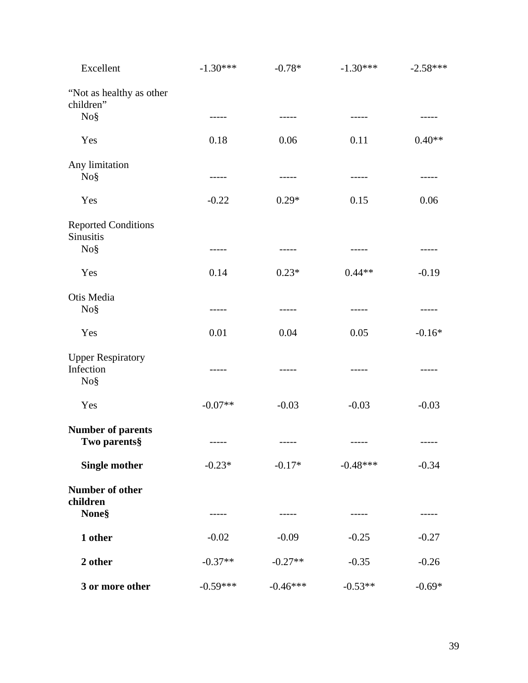| Excellent                                                | $-1.30***$  | $-0.78*$    | $-1.30***$  | $-2.58***$  |
|----------------------------------------------------------|-------------|-------------|-------------|-------------|
| "Not as healthy as other<br>children"                    |             |             |             |             |
| No <sub>8</sub>                                          | -----       | -----       |             |             |
| Yes                                                      | 0.18        | 0.06        | 0.11        | $0.40**$    |
| Any limitation<br>No <sub>8</sub>                        | $- - - - -$ | $- - - - -$ | $- - - - -$ | -----       |
| Yes                                                      | $-0.22$     | $0.29*$     | 0.15        | 0.06        |
| <b>Reported Conditions</b><br>Sinusitis                  |             |             |             |             |
| No <sub>8</sub>                                          | $- - - - -$ | $- - - - -$ | $- - - - -$ |             |
| Yes                                                      | 0.14        | $0.23*$     | $0.44**$    | $-0.19$     |
| Otis Media<br>No§                                        | -----       | -----       | -----       | -----       |
| Yes                                                      | 0.01        | 0.04        | 0.05        | $-0.16*$    |
| <b>Upper Respiratory</b><br>Infection<br>No <sub>8</sub> | $- - - - -$ |             | -----       | -----       |
| Yes                                                      | $-0.07**$   | $-0.03$     | $-0.03$     | $-0.03$     |
| <b>Number of parents</b><br>Two parents§                 | $- - - - -$ |             | $- - - - -$ | $- - - - -$ |
| <b>Single mother</b>                                     | $-0.23*$    | $-0.17*$    | $-0.48***$  | $-0.34$     |
| Number of other<br>children                              |             |             |             |             |
| <b>None</b> §                                            | -----       | -----       | -----       | -----       |
| 1 other                                                  | $-0.02$     | $-0.09$     | $-0.25$     | $-0.27$     |
| 2 other                                                  | $-0.37**$   | $-0.27**$   | $-0.35$     | $-0.26$     |
| 3 or more other                                          | $-0.59***$  | $-0.46***$  | $-0.53**$   | $-0.69*$    |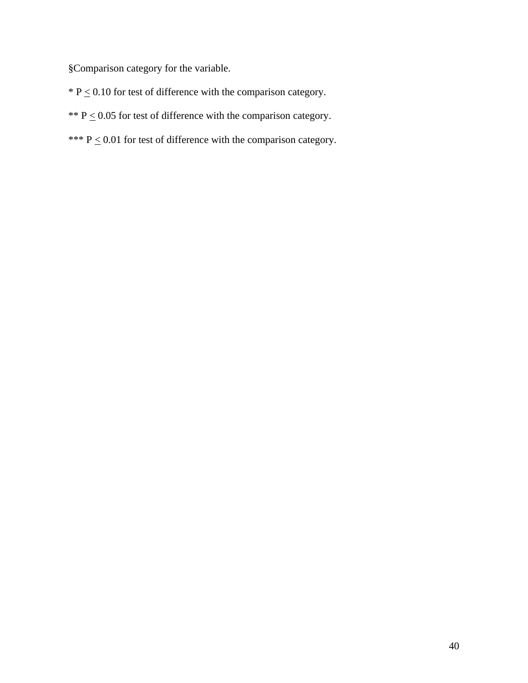§Comparison category for the variable.

- $*$  P  $\leq$  0.10 for test of difference with the comparison category.
- \*\*  $P \le 0.05$  for test of difference with the comparison category.
- \*\*\*  $P \le 0.01$  for test of difference with the comparison category.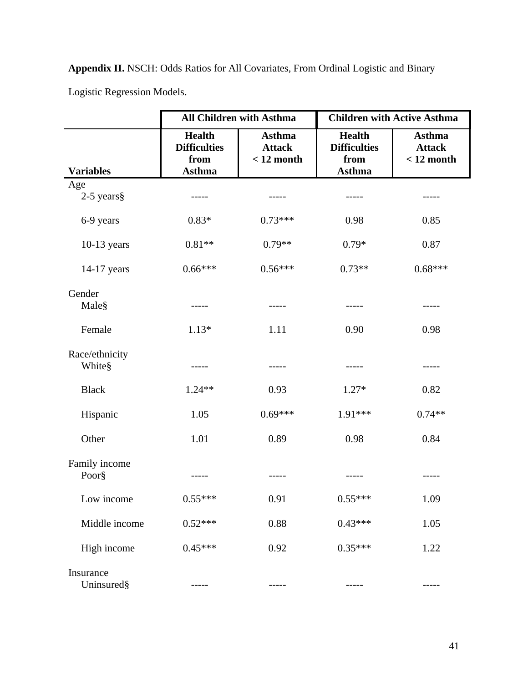**Appendix II.** NSCH: Odds Ratios for All Covariates, From Ordinal Logistic and Binary

Logistic Regression Models.

|                          |                                                               | <b>All Children with Asthma</b>                |                                                               | <b>Children with Active Asthma</b>             |
|--------------------------|---------------------------------------------------------------|------------------------------------------------|---------------------------------------------------------------|------------------------------------------------|
| <b>Variables</b>         | <b>Health</b><br><b>Difficulties</b><br>from<br><b>Asthma</b> | <b>Asthma</b><br><b>Attack</b><br>$< 12$ month | <b>Health</b><br><b>Difficulties</b><br>from<br><b>Asthma</b> | <b>Asthma</b><br><b>Attack</b><br>$< 12$ month |
| Age                      |                                                               |                                                |                                                               |                                                |
| $2-5$ years §            |                                                               |                                                |                                                               |                                                |
| 6-9 years                | $0.83*$                                                       | $0.73***$                                      | 0.98                                                          | 0.85                                           |
| $10-13$ years            | $0.81**$                                                      | $0.79**$                                       | $0.79*$                                                       | 0.87                                           |
| 14-17 years              | $0.66***$                                                     | $0.56***$                                      | $0.73**$                                                      | $0.68***$                                      |
| Gender                   |                                                               |                                                |                                                               |                                                |
| Male§                    | -----                                                         | -----                                          | -----                                                         | -----                                          |
| Female                   | $1.13*$                                                       | 1.11                                           | 0.90                                                          | 0.98                                           |
|                          |                                                               |                                                |                                                               |                                                |
| Race/ethnicity<br>White§ | -----                                                         | -----                                          | -----                                                         |                                                |
| <b>Black</b>             | $1.24**$                                                      | 0.93                                           | $1.27*$                                                       | 0.82                                           |
| Hispanic                 | 1.05                                                          | $0.69***$                                      | 1.91***                                                       | $0.74**$                                       |
| Other                    | 1.01                                                          | 0.89                                           | 0.98                                                          | 0.84                                           |
| Family income            |                                                               |                                                |                                                               |                                                |
| Poor§                    |                                                               |                                                |                                                               |                                                |
| Low income               | $0.55***$                                                     | 0.91                                           | $0.55***$                                                     | 1.09                                           |
| Middle income            | $0.52***$                                                     | 0.88                                           | $0.43***$                                                     | 1.05                                           |
| High income              | $0.45***$                                                     | 0.92                                           | $0.35***$                                                     | 1.22                                           |
| Insurance<br>Uninsured§  |                                                               |                                                |                                                               |                                                |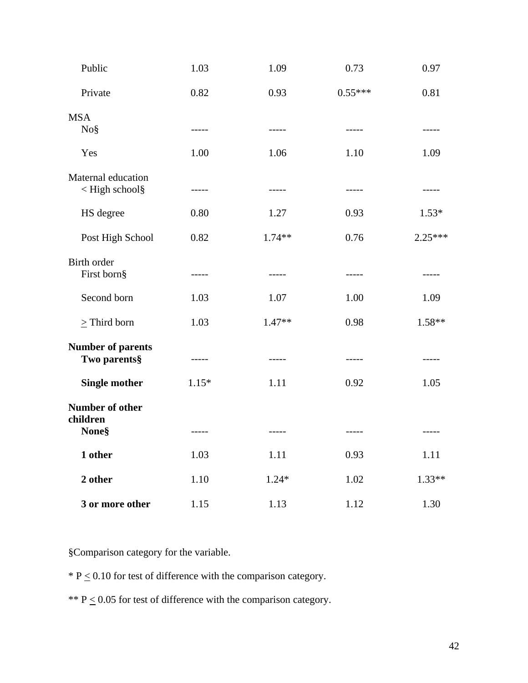| Public                                                                                                                         | 1.03    | 1.09        | 0.73      | 0.97      |
|--------------------------------------------------------------------------------------------------------------------------------|---------|-------------|-----------|-----------|
| Private                                                                                                                        | 0.82    | 0.93        | $0.55***$ | 0.81      |
| <b>MSA</b><br>No§                                                                                                              | -----   | $- - - - -$ | -----     | -----     |
| Yes                                                                                                                            | 1.00    | 1.06        | 1.10      | 1.09      |
| Maternal education<br><high school§<="" td=""><td>-----</td><td><math>- - - - -</math></td><td>-----</td><td>-----</td></high> | -----   | $- - - - -$ | -----     | -----     |
| HS degree                                                                                                                      | 0.80    | 1.27        | 0.93      | $1.53*$   |
| Post High School                                                                                                               | 0.82    | $1.74**$    | 0.76      | $2.25***$ |
| Birth order<br>First born§                                                                                                     | -----   | -----       | -----     | -----     |
| Second born                                                                                                                    | 1.03    | 1.07        | 1.00      | 1.09      |
| $\geq$ Third born                                                                                                              | 1.03    | $1.47**$    | 0.98      | 1.58**    |
| <b>Number of parents</b><br>Two parents§                                                                                       | -----   | $- - - - -$ | -----     | -----     |
| <b>Single mother</b>                                                                                                           | $1.15*$ | 1.11        | 0.92      | 1.05      |
| Number of other<br>children                                                                                                    |         |             |           |           |
| <b>None</b> §                                                                                                                  | -----   | $- - - - -$ | -----     | -----     |
| 1 other                                                                                                                        | 1.03    | 1.11        | 0.93      | 1.11      |
| 2 other                                                                                                                        | 1.10    | $1.24*$     | 1.02      | $1.33**$  |
| 3 or more other                                                                                                                | 1.15    | 1.13        | 1.12      | 1.30      |

§Comparison category for the variable.

 $*$  P  $\leq$  0.10 for test of difference with the comparison category.

\*\*  $P \le 0.05$  for test of difference with the comparison category.